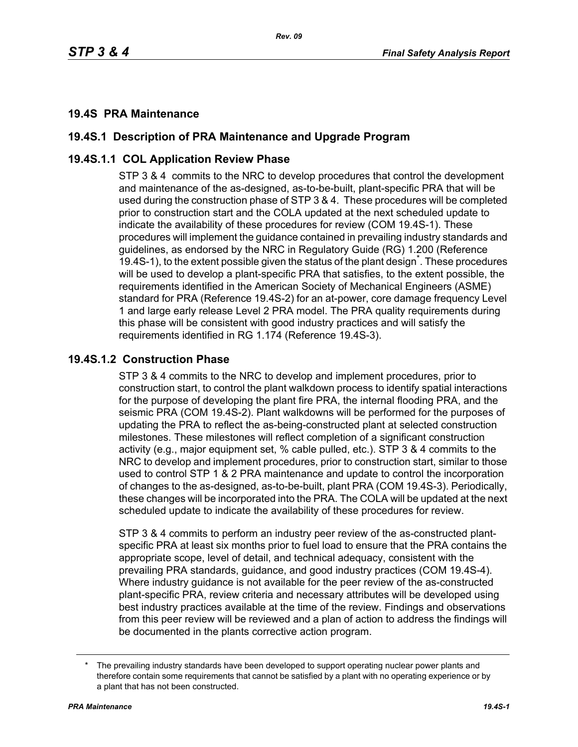*Rev. 09*

## **19.4S PRA Maintenance**

# **19.4S.1 Description of PRA Maintenance and Upgrade Program**

# **19.4S.1.1 COL Application Review Phase**

STP 3 & 4 commits to the NRC to develop procedures that control the development and maintenance of the as-designed, as-to-be-built, plant-specific PRA that will be used during the construction phase of STP 3 & 4. These procedures will be completed prior to construction start and the COLA updated at the next scheduled update to indicate the availability of these procedures for review (COM 19.4S-1). These procedures will implement the guidance contained in prevailing industry standards and guidelines, as endorsed by the NRC in Regulatory Guide (RG) 1.200 (Reference 19.4S-1), to the extent possible given the status of the plant design<sup>\*</sup>. These procedures will be used to develop a plant-specific PRA that satisfies, to the extent possible, the requirements identified in the American Society of Mechanical Engineers (ASME) standard for PRA (Reference 19.4S-2) for an at-power, core damage frequency Level 1 and large early release Level 2 PRA model. The PRA quality requirements during this phase will be consistent with good industry practices and will satisfy the requirements identified in RG 1.174 (Reference 19.4S-3).

#### **19.4S.1.2 Construction Phase**

STP 3 & 4 commits to the NRC to develop and implement procedures, prior to construction start, to control the plant walkdown process to identify spatial interactions for the purpose of developing the plant fire PRA, the internal flooding PRA, and the seismic PRA (COM 19.4S-2). Plant walkdowns will be performed for the purposes of updating the PRA to reflect the as-being-constructed plant at selected construction milestones. These milestones will reflect completion of a significant construction activity (e.g., major equipment set, % cable pulled, etc.). STP 3 & 4 commits to the NRC to develop and implement procedures, prior to construction start, similar to those used to control STP 1 & 2 PRA maintenance and update to control the incorporation of changes to the as-designed, as-to-be-built, plant PRA (COM 19.4S-3). Periodically, these changes will be incorporated into the PRA. The COLA will be updated at the next scheduled update to indicate the availability of these procedures for review.

STP 3 & 4 commits to perform an industry peer review of the as-constructed plantspecific PRA at least six months prior to fuel load to ensure that the PRA contains the appropriate scope, level of detail, and technical adequacy, consistent with the prevailing PRA standards, guidance, and good industry practices (COM 19.4S-4). Where industry guidance is not available for the peer review of the as-constructed plant-specific PRA, review criteria and necessary attributes will be developed using best industry practices available at the time of the review. Findings and observations from this peer review will be reviewed and a plan of action to address the findings will be documented in the plants corrective action program.

The prevailing industry standards have been developed to support operating nuclear power plants and therefore contain some requirements that cannot be satisfied by a plant with no operating experience or by a plant that has not been constructed.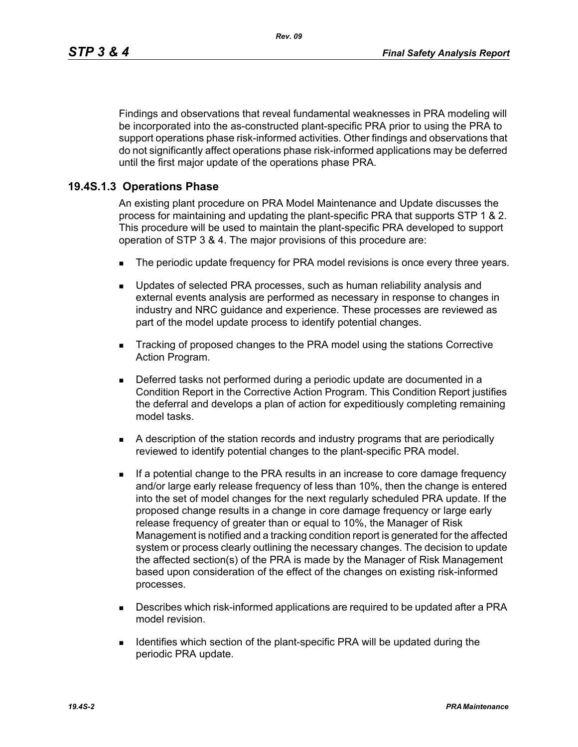*Rev. 09*

Findings and observations that reveal fundamental weaknesses in PRA modeling will be incorporated into the as-constructed plant-specific PRA prior to using the PRA to support operations phase risk-informed activities. Other findings and observations that do not significantly affect operations phase risk-informed applications may be deferred until the first major update of the operations phase PRA.

# **19.4S.1.3 Operations Phase**

An existing plant procedure on PRA Model Maintenance and Update discusses the process for maintaining and updating the plant-specific PRA that supports STP 1 & 2. This procedure will be used to maintain the plant-specific PRA developed to support operation of STP 3 & 4. The major provisions of this procedure are:

- The periodic update frequency for PRA model revisions is once every three years.
- **Updates of selected PRA processes, such as human reliability analysis and** external events analysis are performed as necessary in response to changes in industry and NRC guidance and experience. These processes are reviewed as part of the model update process to identify potential changes.
- Tracking of proposed changes to the PRA model using the stations Corrective Action Program.
- Deferred tasks not performed during a periodic update are documented in a Condition Report in the Corrective Action Program. This Condition Report justifies the deferral and develops a plan of action for expeditiously completing remaining model tasks.
- A description of the station records and industry programs that are periodically reviewed to identify potential changes to the plant-specific PRA model.
- **If a potential change to the PRA results in an increase to core damage frequency** and/or large early release frequency of less than 10%, then the change is entered into the set of model changes for the next regularly scheduled PRA update. If the proposed change results in a change in core damage frequency or large early release frequency of greater than or equal to 10%, the Manager of Risk Management is notified and a tracking condition report is generated for the affected system or process clearly outlining the necessary changes. The decision to update the affected section(s) of the PRA is made by the Manager of Risk Management based upon consideration of the effect of the changes on existing risk-informed processes.
- **Describes which risk-informed applications are required to be updated after a PRA** model revision.
- **IDENTIFIELD IDENTIFIELD** Section of the plant-specific PRA will be updated during the periodic PRA update.